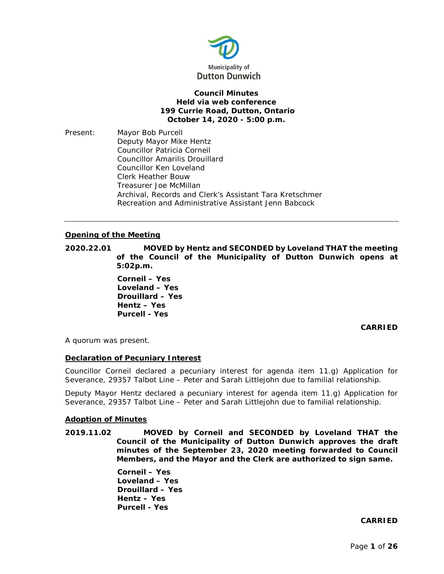

## **Council Minutes Held via web conference 199 Currie Road, Dutton, Ontario October 14, 2020 - 5:00 p.m.**

Present: Mayor Bob Purcell Deputy Mayor Mike Hentz Councillor Patricia Corneil Councillor Amarilis Drouillard Councillor Ken Loveland Clerk Heather Bouw Treasurer Joe McMillan Archival, Records and Clerk's Assistant Tara Kretschmer Recreation and Administrative Assistant Jenn Babcock

## **Opening of the Meeting**

**2020.22.01 MOVED by Hentz and SECONDED by Loveland THAT the meeting of the Council of the Municipality of Dutton Dunwich opens at 5:02p.m.**

> **Corneil – Yes Loveland – Yes Drouillard – Yes Hentz – Yes Purcell - Yes**

## **CARRIED**

A quorum was present.

## **Declaration of Pecuniary Interest**

Councillor Corneil declared a pecuniary interest for agenda item 11.g) Application for Severance, 29357 Talbot Line – Peter and Sarah Littlejohn due to familial relationship.

Deputy Mayor Hentz declared a pecuniary interest for agenda item 11.g) Application for Severance, 29357 Talbot Line – Peter and Sarah Littlejohn due to familial relationship.

#### **Adoption of Minutes**

**2019.11.02 MOVED by Corneil and SECONDED by Loveland THAT the Council of the Municipality of Dutton Dunwich approves the draft minutes of the September 23, 2020 meeting forwarded to Council Members, and the Mayor and the Clerk are authorized to sign same.**

> **Corneil – Yes Loveland – Yes Drouillard – Yes Hentz – Yes Purcell - Yes**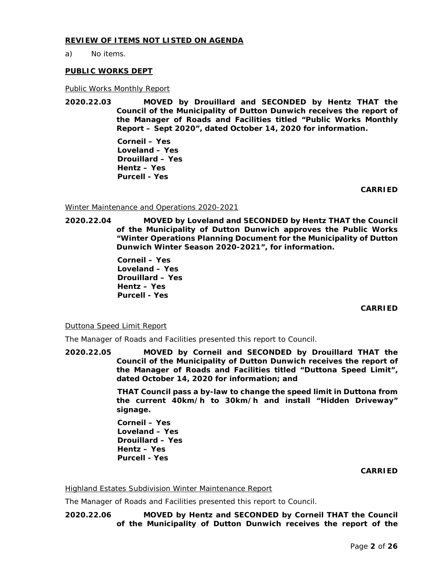## **REVIEW OF ITEMS NOT LISTED ON AGENDA**

a) No items.

## **PUBLIC WORKS DEPT**

## Public Works Monthly Report

**2020.22.03 MOVED by Drouillard and SECONDED by Hentz THAT the Council of the Municipality of Dutton Dunwich receives the report of the Manager of Roads and Facilities titled "Public Works Monthly Report – Sept 2020", dated October 14, 2020 for information.** 

> **Corneil – Yes Loveland – Yes Drouillard – Yes Hentz – Yes Purcell - Yes**

> > **CARRIED**

## Winter Maintenance and Operations 2020-2021

**2020.22.04 MOVED by Loveland and SECONDED by Hentz THAT the Council of the Municipality of Dutton Dunwich approves the Public Works "Winter Operations Planning Document for the Municipality of Dutton Dunwich Winter Season 2020-2021", for information.** 

> **Corneil – Yes Loveland – Yes Drouillard – Yes Hentz – Yes Purcell - Yes**

> > **CARRIED**

Duttona Speed Limit Report

The Manager of Roads and Facilities presented this report to Council.

**2020.22.05 MOVED by Corneil and SECONDED by Drouillard THAT the Council of the Municipality of Dutton Dunwich receives the report of the Manager of Roads and Facilities titled "Duttona Speed Limit", dated October 14, 2020 for information; and**

> **THAT Council pass a by-law to change the speed limit in Duttona from the current 40km/h to 30km/h and install "Hidden Driveway" signage.**

**Corneil – Yes Loveland – Yes Drouillard – Yes Hentz – Yes Purcell - Yes**

**CARRIED**

Highland Estates Subdivision Winter Maintenance Report

The Manager of Roads and Facilities presented this report to Council.

**2020.22.06 MOVED by Hentz and SECONDED by Corneil THAT the Council of the Municipality of Dutton Dunwich receives the report of the**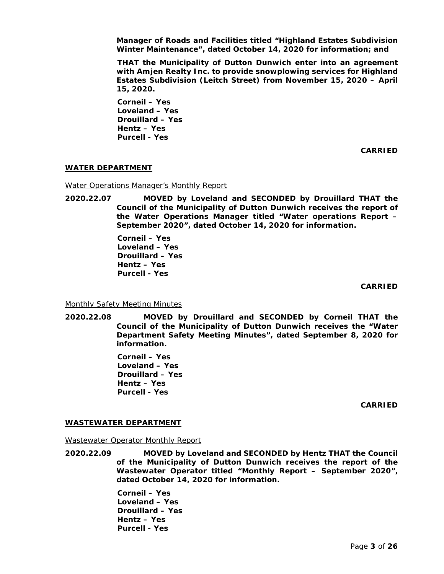**Manager of Roads and Facilities titled "Highland Estates Subdivision Winter Maintenance", dated October 14, 2020 for information; and**

**THAT the Municipality of Dutton Dunwich enter into an agreement with Amjen Realty Inc. to provide snowplowing services for Highland Estates Subdivision (Leitch Street) from November 15, 2020 – April 15, 2020.**

**Corneil – Yes Loveland – Yes Drouillard – Yes Hentz – Yes Purcell - Yes**

**CARRIED**

## **WATER DEPARTMENT**

Water Operations Manager's Monthly Report

**2020.22.07 MOVED by Loveland and SECONDED by Drouillard THAT the Council of the Municipality of Dutton Dunwich receives the report of the Water Operations Manager titled "Water operations Report – September 2020", dated October 14, 2020 for information.**

> **Corneil – Yes Loveland – Yes Drouillard – Yes Hentz – Yes Purcell - Yes**

> > **CARRIED**

Monthly Safety Meeting Minutes

**2020.22.08 MOVED by Drouillard and SECONDED by Corneil THAT the Council of the Municipality of Dutton Dunwich receives the "Water Department Safety Meeting Minutes", dated September 8, 2020 for information.**

> **Corneil – Yes Loveland – Yes Drouillard – Yes Hentz – Yes Purcell - Yes**

> > **CARRIED**

## **WASTEWATER DEPARTMENT**

Wastewater Operator Monthly Report

**2020.22.09 MOVED by Loveland and SECONDED by Hentz THAT the Council of the Municipality of Dutton Dunwich receives the report of the Wastewater Operator titled "Monthly Report – September 2020", dated October 14, 2020 for information.** 

> **Corneil – Yes Loveland – Yes Drouillard – Yes Hentz – Yes Purcell - Yes**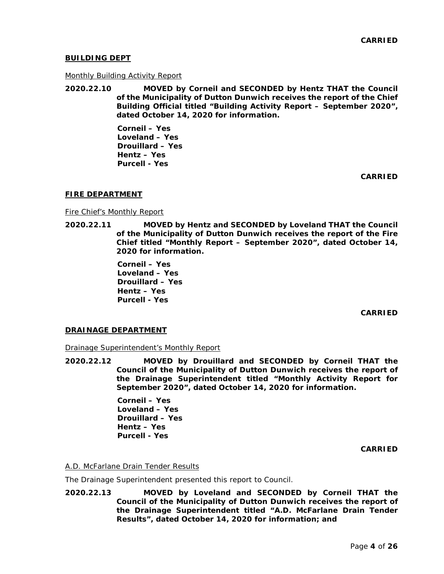## **BUILDING DEPT**

### Monthly Building Activity Report

**2020.22.10 MOVED by Corneil and SECONDED by Hentz THAT the Council of the Municipality of Dutton Dunwich receives the report of the Chief Building Official titled "Building Activity Report – September 2020", dated October 14, 2020 for information.**

> **Corneil – Yes Loveland – Yes Drouillard – Yes Hentz – Yes Purcell - Yes**

> > **CARRIED**

## **FIRE DEPARTMENT**

Fire Chief's Monthly Report

**2020.22.11 MOVED by Hentz and SECONDED by Loveland THAT the Council of the Municipality of Dutton Dunwich receives the report of the Fire Chief titled "Monthly Report – September 2020", dated October 14, 2020 for information.**

> **Corneil – Yes Loveland – Yes Drouillard – Yes Hentz – Yes Purcell - Yes**

> > **CARRIED**

## **DRAINAGE DEPARTMENT**

Drainage Superintendent's Monthly Report

**2020.22.12 MOVED by Drouillard and SECONDED by Corneil THAT the Council of the Municipality of Dutton Dunwich receives the report of the Drainage Superintendent titled "Monthly Activity Report for September 2020", dated October 14, 2020 for information.**

> **Corneil – Yes Loveland – Yes Drouillard – Yes Hentz – Yes Purcell - Yes**

> > **CARRIED**

# A.D. McFarlane Drain Tender Results

The Drainage Superintendent presented this report to Council.

**2020.22.13 MOVED by Loveland and SECONDED by Corneil THAT the Council of the Municipality of Dutton Dunwich receives the report of the Drainage Superintendent titled "A.D. McFarlane Drain Tender Results", dated October 14, 2020 for information; and**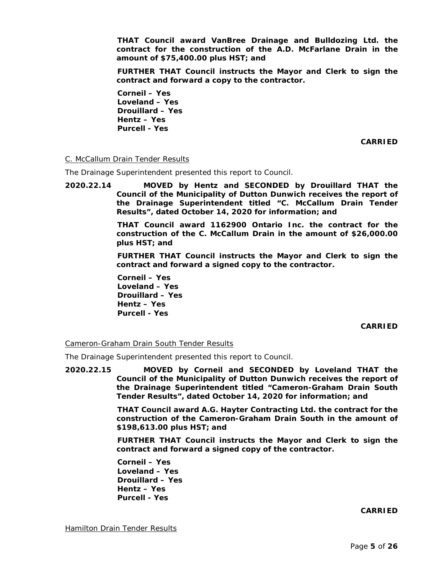**THAT Council award VanBree Drainage and Bulldozing Ltd. the contract for the construction of the A.D. McFarlane Drain in the amount of \$75,400.00 plus HST; and**

**FURTHER THAT Council instructs the Mayor and Clerk to sign the contract and forward a copy to the contractor.**

**Corneil – Yes Loveland – Yes Drouillard – Yes Hentz – Yes Purcell - Yes**

**CARRIED**

# C. McCallum Drain Tender Results

The Drainage Superintendent presented this report to Council.

**2020.22.14 MOVED by Hentz and SECONDED by Drouillard THAT the Council of the Municipality of Dutton Dunwich receives the report of the Drainage Superintendent titled "C. McCallum Drain Tender Results", dated October 14, 2020 for information; and**

> **THAT Council award 1162900 Ontario Inc. the contract for the construction of the C. McCallum Drain in the amount of \$26,000.00 plus HST; and**

> **FURTHER THAT Council instructs the Mayor and Clerk to sign the contract and forward a signed copy to the contractor.**

**Corneil – Yes Loveland – Yes Drouillard – Yes Hentz – Yes Purcell - Yes**

**CARRIED**

Cameron-Graham Drain South Tender Results

The Drainage Superintendent presented this report to Council.

**2020.22.15 MOVED by Corneil and SECONDED by Loveland THAT the Council of the Municipality of Dutton Dunwich receives the report of the Drainage Superintendent titled "Cameron-Graham Drain South Tender Results", dated October 14, 2020 for information; and**

> **THAT Council award A.G. Hayter Contracting Ltd. the contract for the construction of the Cameron-Graham Drain South in the amount of \$198,613.00 plus HST; and**

> **FURTHER THAT Council instructs the Mayor and Clerk to sign the contract and forward a signed copy of the contractor.**

**Corneil – Yes Loveland – Yes Drouillard – Yes Hentz – Yes Purcell - Yes**

**CARRIED**

**Hamilton Drain Tender Results**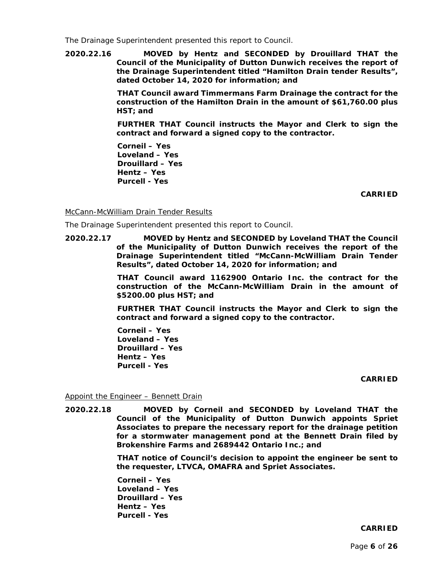The Drainage Superintendent presented this report to Council.

**2020.22.16 MOVED by Hentz and SECONDED by Drouillard THAT the Council of the Municipality of Dutton Dunwich receives the report of the Drainage Superintendent titled "Hamilton Drain tender Results", dated October 14, 2020 for information; and**

> **THAT Council award Timmermans Farm Drainage the contract for the construction of the Hamilton Drain in the amount of \$61,760.00 plus HST; and**

> **FURTHER THAT Council instructs the Mayor and Clerk to sign the contract and forward a signed copy to the contractor.**

**Corneil – Yes Loveland – Yes Drouillard – Yes Hentz – Yes Purcell - Yes**

**CARRIED**

McCann-McWilliam Drain Tender Results

The Drainage Superintendent presented this report to Council.

**2020.22.17 MOVED by Hentz and SECONDED by Loveland THAT the Council of the Municipality of Dutton Dunwich receives the report of the Drainage Superintendent titled "McCann-McWilliam Drain Tender Results", dated October 14, 2020 for information; and**

> **THAT Council award 1162900 Ontario Inc. the contract for the construction of the McCann-McWilliam Drain in the amount of \$5200.00 plus HST; and**

> **FURTHER THAT Council instructs the Mayor and Clerk to sign the contract and forward a signed copy to the contractor.**

**Corneil – Yes Loveland – Yes Drouillard – Yes Hentz – Yes Purcell - Yes**

#### **CARRIED**

Appoint the Engineer – Bennett Drain

**2020.22.18 MOVED by Corneil and SECONDED by Loveland THAT the Council of the Municipality of Dutton Dunwich appoints Spriet Associates to prepare the necessary report for the drainage petition for a stormwater management pond at the Bennett Drain filed by Brokenshire Farms and 2689442 Ontario Inc.; and**

> **THAT notice of Council's decision to appoint the engineer be sent to the requester, LTVCA, OMAFRA and Spriet Associates.**

**Corneil – Yes Loveland – Yes Drouillard – Yes Hentz – Yes Purcell - Yes**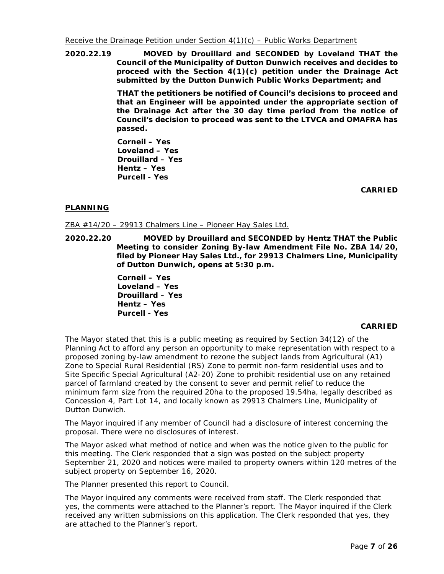**2020.22.19 MOVED by Drouillard and SECONDED by Loveland THAT the Council of the Municipality of Dutton Dunwich receives and decides to proceed with the Section 4(1)(c) petition under the Drainage Act submitted by the Dutton Dunwich Public Works Department; and**

> **THAT the petitioners be notified of Council's decisions to proceed and that an Engineer will be appointed under the appropriate section of the Drainage Act after the 30 day time period from the notice of Council's decision to proceed was sent to the LTVCA and OMAFRA has passed.**

**Corneil – Yes Loveland – Yes Drouillard – Yes Hentz – Yes Purcell - Yes**

**CARRIED**

# **PLANNING**

ZBA #14/20 – 29913 Chalmers Line – Pioneer Hay Sales Ltd.

**2020.22.20 MOVED by Drouillard and SECONDED by Hentz THAT the Public Meeting to consider Zoning By-law Amendment File No. ZBA 14/20, filed by Pioneer Hay Sales Ltd., for 29913 Chalmers Line, Municipality of Dutton Dunwich, opens at 5:30 p.m.**

> **Corneil – Yes Loveland – Yes Drouillard – Yes Hentz – Yes Purcell - Yes**

## **CARRIED**

The Mayor stated that this is a public meeting as required by Section 34(12) of the Planning Act to afford any person an opportunity to make representation with respect to a proposed zoning by-law amendment to rezone the subject lands from Agricultural (A1) Zone to Special Rural Residential (RS) Zone to permit non-farm residential uses and to Site Specific Special Agricultural (A2-20) Zone to prohibit residential use on any retained parcel of farmland created by the consent to sever and permit relief to reduce the minimum farm size from the required 20ha to the proposed 19.54ha, legally described as Concession 4, Part Lot 14, and locally known as 29913 Chalmers Line, Municipality of Dutton Dunwich.

The Mayor inquired if any member of Council had a disclosure of interest concerning the proposal. There were no disclosures of interest.

The Mayor asked what method of notice and when was the notice given to the public for this meeting. The Clerk responded that a sign was posted on the subject property September 21, 2020 and notices were mailed to property owners within 120 metres of the subject property on September 16, 2020.

The Planner presented this report to Council.

The Mayor inquired any comments were received from staff. The Clerk responded that yes, the comments were attached to the Planner's report. The Mayor inquired if the Clerk received any written submissions on this application. The Clerk responded that yes, they are attached to the Planner's report.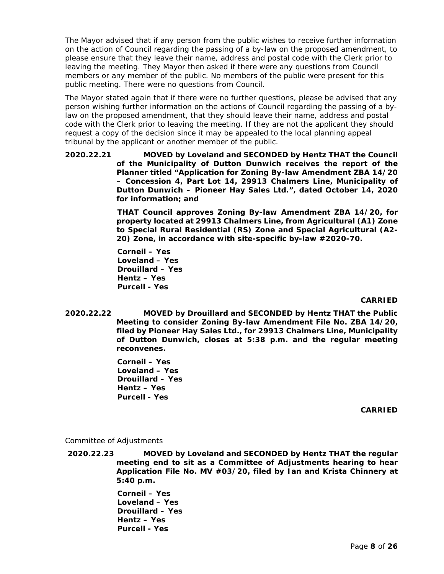The Mayor advised that if any person from the public wishes to receive further information on the action of Council regarding the passing of a by-law on the proposed amendment, to please ensure that they leave their name, address and postal code with the Clerk prior to leaving the meeting. They Mayor then asked if there were any questions from Council members or any member of the public. No members of the public were present for this public meeting. There were no questions from Council.

The Mayor stated again that if there were no further questions, please be advised that any person wishing further information on the actions of Council regarding the passing of a bylaw on the proposed amendment, that they should leave their name, address and postal code with the Clerk prior to leaving the meeting. If they are not the applicant they should request a copy of the decision since it may be appealed to the local planning appeal tribunal by the applicant or another member of the public.

**2020.22.21 MOVED by Loveland and SECONDED by Hentz THAT the Council of the Municipality of Dutton Dunwich receives the report of the Planner titled "Application for Zoning By-law Amendment ZBA 14/20 – Concession 4, Part Lot 14, 29913 Chalmers Line, Municipality of Dutton Dunwich – Pioneer Hay Sales Ltd.", dated October 14, 2020 for information; and**

> **THAT Council approves Zoning By-law Amendment ZBA 14/20, for property located at 29913 Chalmers Line, from Agricultural (A1) Zone to Special Rural Residential (RS) Zone and Special Agricultural (A2- 20) Zone, in accordance with site-specific by-law #2020-70.**

**Corneil – Yes Loveland – Yes Drouillard – Yes Hentz – Yes Purcell - Yes**

## **CARRIED**

**2020.22.22 MOVED by Drouillard and SECONDED by Hentz THAT the Public Meeting to consider Zoning By-law Amendment File No. ZBA 14/20, filed by Pioneer Hay Sales Ltd., for 29913 Chalmers Line, Municipality of Dutton Dunwich, closes at 5:38 p.m. and the regular meeting reconvenes.**

> **Corneil – Yes Loveland – Yes Drouillard – Yes Hentz – Yes Purcell - Yes**

> > **CARRIED**

## Committee of Adjustments

**2020.22.23 MOVED by Loveland and SECONDED by Hentz THAT the regular meeting end to sit as a Committee of Adjustments hearing to hear Application File No. MV #03/20, filed by Ian and Krista Chinnery at 5:40 p.m.**

> **Corneil – Yes Loveland – Yes Drouillard – Yes Hentz – Yes Purcell - Yes**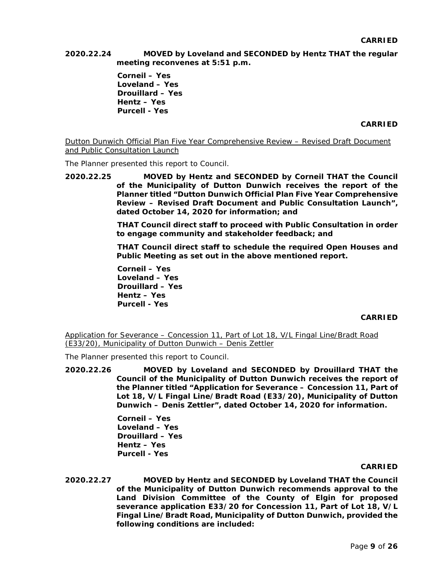**2020.22.24 MOVED by Loveland and SECONDED by Hentz THAT the regular meeting reconvenes at 5:51 p.m.**

> **Corneil – Yes Loveland – Yes Drouillard – Yes Hentz – Yes Purcell - Yes**

> > **CARRIED**

Dutton Dunwich Official Plan Five Year Comprehensive Review – Revised Draft Document and Public Consultation Launch

The Planner presented this report to Council.

**2020.22.25 MOVED by Hentz and SECONDED by Corneil THAT the Council of the Municipality of Dutton Dunwich receives the report of the Planner titled "Dutton Dunwich Official Plan Five Year Comprehensive Review – Revised Draft Document and Public Consultation Launch", dated October 14, 2020 for information; and**

> **THAT Council direct staff to proceed with Public Consultation in order to engage community and stakeholder feedback; and**

> **THAT Council direct staff to schedule the required Open Houses and Public Meeting as set out in the above mentioned report.**

**Corneil – Yes Loveland – Yes Drouillard – Yes Hentz – Yes Purcell - Yes**

#### **CARRIED**

Application for Severance – Concession 11, Part of Lot 18, V/L Fingal Line/Bradt Road (E33/20), Municipality of Dutton Dunwich – Denis Zettler

The Planner presented this report to Council.

**2020.22.26 MOVED by Loveland and SECONDED by Drouillard THAT the Council of the Municipality of Dutton Dunwich receives the report of the Planner titled "Application for Severance – Concession 11, Part of Lot 18, V/L Fingal Line/Bradt Road (E33/20), Municipality of Dutton Dunwich – Denis Zettler", dated October 14, 2020 for information.** 

> **Corneil – Yes Loveland – Yes Drouillard – Yes Hentz – Yes Purcell - Yes**

#### **CARRIED**

**2020.22.27 MOVED by Hentz and SECONDED by Loveland THAT the Council of the Municipality of Dutton Dunwich recommends approval to the Land Division Committee of the County of Elgin for proposed severance application E33/20 for Concession 11, Part of Lot 18, V/L Fingal Line/Bradt Road, Municipality of Dutton Dunwich, provided the following conditions are included:**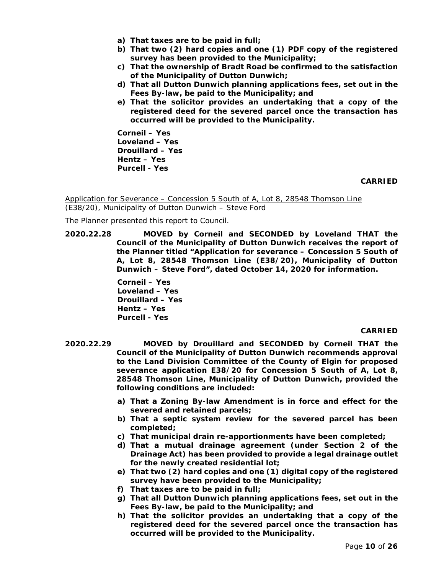- **a) That taxes are to be paid in full;**
- **b) That two (2) hard copies and one (1) PDF copy of the registered survey has been provided to the Municipality;**
- **c) That the ownership of Bradt Road be confirmed to the satisfaction of the Municipality of Dutton Dunwich;**
- **d) That all Dutton Dunwich planning applications fees, set out in the Fees By-law, be paid to the Municipality; and**
- **e) That the solicitor provides an undertaking that a copy of the registered deed for the severed parcel once the transaction has occurred will be provided to the Municipality.**

**Corneil – Yes Loveland – Yes Drouillard – Yes Hentz – Yes Purcell - Yes**

### **CARRIED**

Application for Severance – Concession 5 South of A, Lot 8, 28548 Thomson Line (E38/20), Municipality of Dutton Dunwich – Steve Ford

The Planner presented this report to Council.

**2020.22.28 MOVED by Corneil and SECONDED by Loveland THAT the Council of the Municipality of Dutton Dunwich receives the report of the Planner titled "Application for severance – Concession 5 South of A, Lot 8, 28548 Thomson Line (E38/20), Municipality of Dutton Dunwich – Steve Ford", dated October 14, 2020 for information.**

> **Corneil – Yes Loveland – Yes Drouillard – Yes Hentz – Yes Purcell - Yes**

- **2020.22.29 MOVED by Drouillard and SECONDED by Corneil THAT the Council of the Municipality of Dutton Dunwich recommends approval to the Land Division Committee of the County of Elgin for proposed severance application E38/20 for Concession 5 South of A, Lot 8, 28548 Thomson Line, Municipality of Dutton Dunwich, provided the following conditions are included:**
	- **a) That a Zoning By-law Amendment is in force and effect for the severed and retained parcels;**
	- **b) That a septic system review for the severed parcel has been completed;**
	- **c) That municipal drain re-apportionments have been completed;**
	- **d) That a mutual drainage agreement (under Section 2 of the Drainage Act) has been provided to provide a legal drainage outlet for the newly created residential lot;**
	- **e) That two (2) hard copies and one (1) digital copy of the registered survey have been provided to the Municipality;**
	- **f) That taxes are to be paid in full;**
	- **g) That all Dutton Dunwich planning applications fees, set out in the Fees By-law, be paid to the Municipality; and**
	- **h) That the solicitor provides an undertaking that a copy of the registered deed for the severed parcel once the transaction has occurred will be provided to the Municipality.**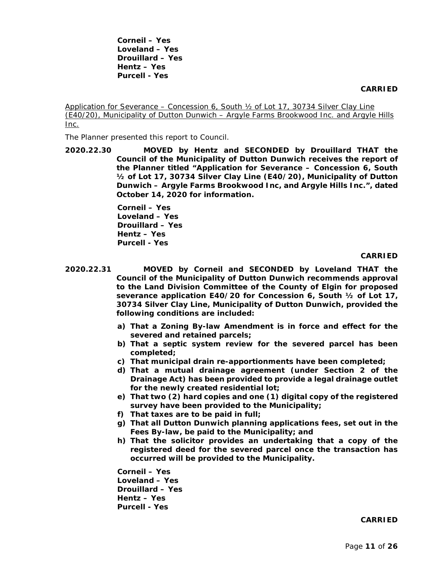**Corneil – Yes Loveland – Yes Drouillard – Yes Hentz – Yes Purcell - Yes**

#### **CARRIED**

Application for Severance – Concession 6, South ½ of Lot 17, 30734 Silver Clay Line (E40/20), Municipality of Dutton Dunwich – Argyle Farms Brookwood Inc. and Argyle Hills Inc.

The Planner presented this report to Council.

**2020.22.30 MOVED by Hentz and SECONDED by Drouillard THAT the Council of the Municipality of Dutton Dunwich receives the report of the Planner titled "Application for Severance – Concession 6, South ½ of Lot 17, 30734 Silver Clay Line (E40/20), Municipality of Dutton Dunwich – Argyle Farms Brookwood Inc, and Argyle Hills Inc.", dated October 14, 2020 for information.**

> **Corneil – Yes Loveland – Yes Drouillard – Yes Hentz – Yes Purcell - Yes**

### **CARRIED**

- **2020.22.31 MOVED by Corneil and SECONDED by Loveland THAT the Council of the Municipality of Dutton Dunwich recommends approval to the Land Division Committee of the County of Elgin for proposed severance application E40/20 for Concession 6, South ½ of Lot 17, 30734 Silver Clay Line, Municipality of Dutton Dunwich, provided the following conditions are included:**
	- **a) That a Zoning By-law Amendment is in force and effect for the severed and retained parcels;**
	- **b) That a septic system review for the severed parcel has been completed;**
	- **c) That municipal drain re-apportionments have been completed;**
	- **d) That a mutual drainage agreement (under Section 2 of the Drainage Act) has been provided to provide a legal drainage outlet for the newly created residential lot;**
	- **e) That two (2) hard copies and one (1) digital copy of the registered survey have been provided to the Municipality;**
	- **f) That taxes are to be paid in full;**
	- **g) That all Dutton Dunwich planning applications fees, set out in the Fees By-law, be paid to the Municipality; and**
	- **h) That the solicitor provides an undertaking that a copy of the registered deed for the severed parcel once the transaction has occurred will be provided to the Municipality.**

**Corneil – Yes Loveland – Yes Drouillard – Yes Hentz – Yes Purcell - Yes**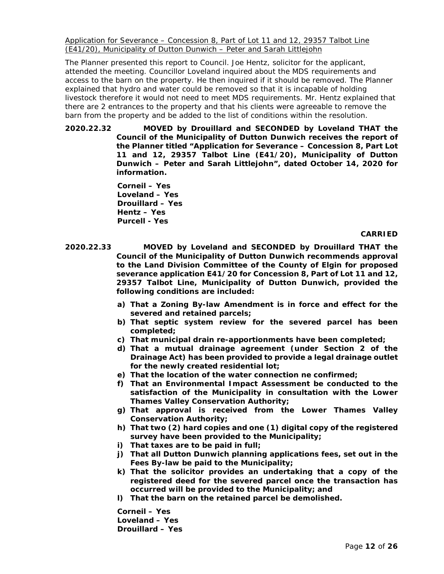Application for Severance – Concession 8, Part of Lot 11 and 12, 29357 Talbot Line (E41/20), Municipality of Dutton Dunwich – Peter and Sarah Littlejohn

The Planner presented this report to Council. Joe Hentz, solicitor for the applicant, attended the meeting. Councillor Loveland inquired about the MDS requirements and access to the barn on the property. He then inquired if it should be removed. The Planner explained that hydro and water could be removed so that it is incapable of holding livestock therefore it would not need to meet MDS requirements. Mr. Hentz explained that there are 2 entrances to the property and that his clients were agreeable to remove the barn from the property and be added to the list of conditions within the resolution.

**2020.22.32 MOVED by Drouillard and SECONDED by Loveland THAT the Council of the Municipality of Dutton Dunwich receives the report of the Planner titled "Application for Severance – Concession 8, Part Lot 11 and 12, 29357 Talbot Line (E41/20), Municipality of Dutton Dunwich – Peter and Sarah Littlejohn", dated October 14, 2020 for information.** 

> **Corneil – Yes Loveland – Yes Drouillard – Yes Hentz – Yes Purcell - Yes**

## **CARRIED**

**2020.22.33 MOVED by Loveland and SECONDED by Drouillard THAT the Council of the Municipality of Dutton Dunwich recommends approval to the Land Division Committee of the County of Elgin for proposed severance application E41/20 for Concession 8, Part of Lot 11 and 12, 29357 Talbot Line, Municipality of Dutton Dunwich, provided the following conditions are included:**

- **a) That a Zoning By-law Amendment is in force and effect for the severed and retained parcels;**
- **b) That septic system review for the severed parcel has been completed;**
- **c) That municipal drain re-apportionments have been completed;**
- **d) That a mutual drainage agreement (under Section 2 of the Drainage Act) has been provided to provide a legal drainage outlet for the newly created residential lot;**
- **e) That the location of the water connection ne confirmed;**
- **f) That an Environmental Impact Assessment be conducted to the satisfaction of the Municipality in consultation with the Lower Thames Valley Conservation Authority;**
- **g) That approval is received from the Lower Thames Valley Conservation Authority;**
- **h) That two (2) hard copies and one (1) digital copy of the registered survey have been provided to the Municipality;**
- **i) That taxes are to be paid in full;**
- **j) That all Dutton Dunwich planning applications fees, set out in the Fees By-law be paid to the Municipality;**
- **k) That the solicitor provides an undertaking that a copy of the registered deed for the severed parcel once the transaction has occurred will be provided to the Municipality; and**
- **l) That the barn on the retained parcel be demolished.**

**Corneil – Yes Loveland – Yes Drouillard – Yes**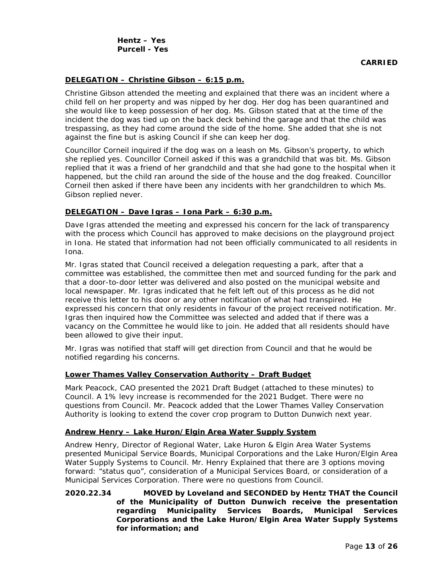## **DELEGATION – Christine Gibson – 6:15 p.m.**

Christine Gibson attended the meeting and explained that there was an incident where a child fell on her property and was nipped by her dog. Her dog has been quarantined and she would like to keep possession of her dog. Ms. Gibson stated that at the time of the incident the dog was tied up on the back deck behind the garage and that the child was trespassing, as they had come around the side of the home. She added that she is not against the fine but is asking Council if she can keep her dog.

Councillor Corneil inquired if the dog was on a leash on Ms. Gibson's property, to which she replied yes. Councillor Corneil asked if this was a grandchild that was bit. Ms. Gibson replied that it was a friend of her grandchild and that she had gone to the hospital when it happened, but the child ran around the side of the house and the dog freaked. Councillor Corneil then asked if there have been any incidents with her grandchildren to which Ms. Gibson replied never.

## **DELEGATION – Dave Igras – Iona Park – 6:30 p.m.**

Dave Igras attended the meeting and expressed his concern for the lack of transparency with the process which Council has approved to make decisions on the playground project in Iona. He stated that information had not been officially communicated to all residents in Iona.

Mr. Igras stated that Council received a delegation requesting a park, after that a committee was established, the committee then met and sourced funding for the park and that a door-to-door letter was delivered and also posted on the municipal website and local newspaper. Mr. Igras indicated that he felt left out of this process as he did not receive this letter to his door or any other notification of what had transpired. He expressed his concern that only residents in favour of the project received notification. Mr. Igras then inquired how the Committee was selected and added that if there was a vacancy on the Committee he would like to join. He added that all residents should have been allowed to give their input.

Mr. Igras was notified that staff will get direction from Council and that he would be notified regarding his concerns.

## **Lower Thames Valley Conservation Authority – Draft Budget**

Mark Peacock, CAO presented the 2021 Draft Budget (attached to these minutes) to Council. A 1% levy increase is recommended for the 2021 Budget. There were no questions from Council. Mr. Peacock added that the Lower Thames Valley Conservation Authority is looking to extend the cover crop program to Dutton Dunwich next year.

## **Andrew Henry – Lake Huron/Elgin Area Water Supply System**

Andrew Henry, Director of Regional Water, Lake Huron & Elgin Area Water Systems presented Municipal Service Boards, Municipal Corporations and the Lake Huron/Elgin Area Water Supply Systems to Council. Mr. Henry Explained that there are 3 options moving forward: "status quo", consideration of a Municipal Services Board, or consideration of a Municipal Services Corporation. There were no questions from Council.

**2020.22.34 MOVED by Loveland and SECONDED by Hentz THAT the Council of the Municipality of Dutton Dunwich receive the presentation regarding Municipality Services Boards, Municipal Services Corporations and the Lake Huron/Elgin Area Water Supply Systems for information; and**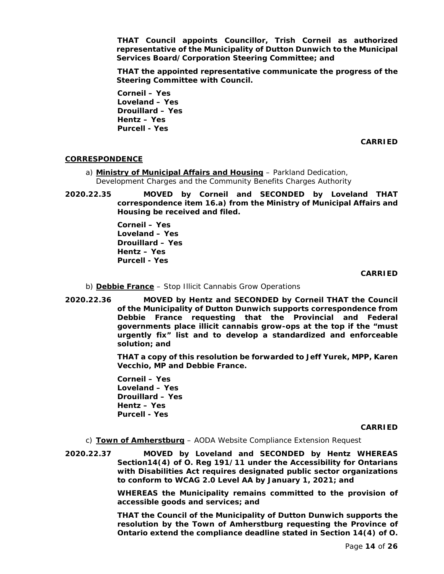**THAT Council appoints Councillor, Trish Corneil as authorized representative of the Municipality of Dutton Dunwich to the Municipal Services Board/Corporation Steering Committee; and**

**THAT the appointed representative communicate the progress of the Steering Committee with Council.**

**Corneil – Yes Loveland – Yes Drouillard – Yes Hentz – Yes Purcell - Yes**

**CARRIED**

# **CORRESPONDENCE**

- a) **Ministry of Municipal Affairs and Housing** Parkland Dedication, Development Charges and the Community Benefits Charges Authority
- **2020.22.35 MOVED by Corneil and SECONDED by Loveland THAT correspondence item 16.a) from the Ministry of Municipal Affairs and Housing be received and filed.**

**Corneil – Yes Loveland – Yes Drouillard – Yes Hentz – Yes Purcell - Yes**

**CARRIED**

- b) **Debbie France** Stop Illicit Cannabis Grow Operations
- **2020.22.36 MOVED by Hentz and SECONDED by Corneil THAT the Council of the Municipality of Dutton Dunwich supports correspondence from Debbie France requesting that the Provincial and Federal governments place illicit cannabis grow-ops at the top if the "must urgently fix" list and to develop a standardized and enforceable solution; and**

**THAT a copy of this resolution be forwarded to Jeff Yurek, MPP, Karen Vecchio, MP and Debbie France.**

**Corneil – Yes Loveland – Yes Drouillard – Yes Hentz – Yes Purcell - Yes**

#### **CARRIED**

- c) **Town of Amherstburg** AODA Website Compliance Extension Request
- **2020.22.37 MOVED by Loveland and SECONDED by Hentz WHEREAS Section14(4) of O. Reg 191/11 under the Accessibility for Ontarians with Disabilities Act requires designated public sector organizations to conform to WCAG 2.0 Level AA by January 1, 2021; and**

**WHEREAS the Municipality remains committed to the provision of accessible goods and services; and**

**THAT the Council of the Municipality of Dutton Dunwich supports the resolution by the Town of Amherstburg requesting the Province of Ontario extend the compliance deadline stated in Section 14(4) of O.**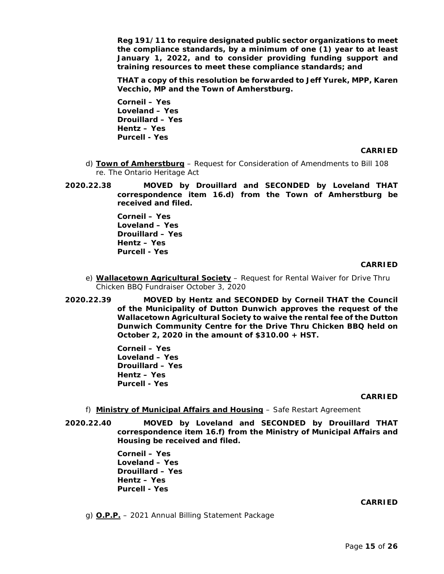**Reg 191/11 to require designated public sector organizations to meet the compliance standards, by a minimum of one (1) year to at least January 1, 2022, and to consider providing funding support and training resources to meet these compliance standards; and**

**THAT a copy of this resolution be forwarded to Jeff Yurek, MPP, Karen Vecchio, MP and the Town of Amherstburg.**

**Corneil – Yes Loveland – Yes Drouillard – Yes Hentz – Yes Purcell - Yes**

## **CARRIED**

- d) **Town of Amherstburg** Request for Consideration of Amendments to Bill 108 re. The Ontario Heritage Act
- **2020.22.38 MOVED by Drouillard and SECONDED by Loveland THAT correspondence item 16.d) from the Town of Amherstburg be received and filed.**

**Corneil – Yes Loveland – Yes Drouillard – Yes Hentz – Yes Purcell - Yes**

### **CARRIED**

- e) **Wallacetown Agricultural Society** Request for Rental Waiver for Drive Thru Chicken BBQ Fundraiser October 3, 2020
- **2020.22.39 MOVED by Hentz and SECONDED by Corneil THAT the Council of the Municipality of Dutton Dunwich approves the request of the Wallacetown Agricultural Society to waive the rental fee of the Dutton Dunwich Community Centre for the Drive Thru Chicken BBQ held on October 2, 2020 in the amount of \$310.00 + HST.**

**Corneil – Yes Loveland – Yes Drouillard – Yes Hentz – Yes Purcell - Yes**

#### **CARRIED**

- f) **Ministry of Municipal Affairs and Housing** Safe Restart Agreement
- **2020.22.40 MOVED by Loveland and SECONDED by Drouillard THAT correspondence item 16.f) from the Ministry of Municipal Affairs and Housing be received and filed.**

**Corneil – Yes Loveland – Yes Drouillard – Yes Hentz – Yes Purcell - Yes**

## **CARRIED**

g) **O.P.P.** – 2021 Annual Billing Statement Package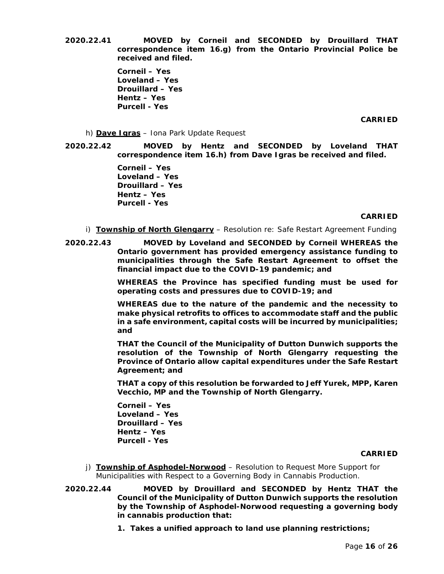**2020.22.41 MOVED by Corneil and SECONDED by Drouillard THAT correspondence item 16.g) from the Ontario Provincial Police be received and filed.** 

> **Corneil – Yes Loveland – Yes Drouillard – Yes Hentz – Yes Purcell - Yes**

## **CARRIED**

- h) **Dave Igras** Iona Park Update Request
- **2020.22.42 MOVED by Hentz and SECONDED by Loveland THAT correspondence item 16.h) from Dave Igras be received and filed.**

**Corneil – Yes Loveland – Yes Drouillard – Yes Hentz – Yes Purcell - Yes**

## **CARRIED**

- i) **Township of North Glengarry** Resolution re: Safe Restart Agreement Funding
- **2020.22.43 MOVED by Loveland and SECONDED by Corneil WHEREAS the Ontario government has provided emergency assistance funding to municipalities through the Safe Restart Agreement to offset the financial impact due to the COVID-19 pandemic; and**

**WHEREAS the Province has specified funding must be used for operating costs and pressures due to COVID-19; and**

**WHEREAS due to the nature of the pandemic and the necessity to make physical retrofits to offices to accommodate staff and the public in a safe environment, capital costs will be incurred by municipalities; and**

**THAT the Council of the Municipality of Dutton Dunwich supports the resolution of the Township of North Glengarry requesting the Province of Ontario allow capital expenditures under the Safe Restart Agreement; and**

**THAT a copy of this resolution be forwarded to Jeff Yurek, MPP, Karen Vecchio, MP and the Township of North Glengarry.**

**Corneil – Yes Loveland – Yes Drouillard – Yes Hentz – Yes Purcell - Yes**

- j) **Township of Asphodel-Norwood** Resolution to Request More Support for Municipalities with Respect to a Governing Body in Cannabis Production.
- **2020.22.44 MOVED by Drouillard and SECONDED by Hentz THAT the Council of the Municipality of Dutton Dunwich supports the resolution by the Township of Asphodel-Norwood requesting a governing body in cannabis production that:**
	- **1. Takes a unified approach to land use planning restrictions;**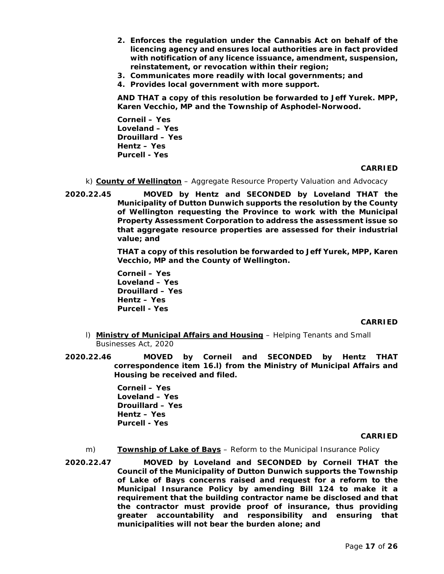- **2. Enforces the regulation under the Cannabis Act on behalf of the licencing agency and ensures local authorities are in fact provided with notification of any licence issuance, amendment, suspension, reinstatement, or revocation within their region;**
- **3. Communicates more readily with local governments; and**
- **4. Provides local government with more support.**

**AND THAT a copy of this resolution be forwarded to Jeff Yurek. MPP, Karen Vecchio, MP and the Township of Asphodel-Norwood.**

**Corneil – Yes Loveland – Yes Drouillard – Yes Hentz – Yes Purcell - Yes**

### **CARRIED**

- k) **County of Wellington** Aggregate Resource Property Valuation and Advocacy
- **2020.22.45 MOVED by Hentz and SECONDED by Loveland THAT the Municipality of Dutton Dunwich supports the resolution by the County of Wellington requesting the Province to work with the Municipal Property Assessment Corporation to address the assessment issue so that aggregate resource properties are assessed for their industrial value; and**

**THAT a copy of this resolution be forwarded to Jeff Yurek, MPP, Karen Vecchio, MP and the County of Wellington.**

**Corneil – Yes Loveland – Yes Drouillard – Yes Hentz – Yes Purcell - Yes**

## **CARRIED**

- l) **Ministry of Municipal Affairs and Housing** Helping Tenants and Small Businesses Act, 2020
- **2020.22.46 MOVED by Corneil and SECONDED by Hentz THAT correspondence item 16.l) from the Ministry of Municipal Affairs and Housing be received and filed.**

**Corneil – Yes Loveland – Yes Drouillard – Yes Hentz – Yes Purcell - Yes**

- m) **Township of Lake of Bays** Reform to the Municipal Insurance Policy
- **2020.22.47 MOVED by Loveland and SECONDED by Corneil THAT the Council of the Municipality of Dutton Dunwich supports the Township of Lake of Bays concerns raised and request for a reform to the Municipal Insurance Policy by amending Bill 124 to make it a requirement that the building contractor name be disclosed and that the contractor must provide proof of insurance, thus providing greater accountability and responsibility and ensuring that municipalities will not bear the burden alone; and**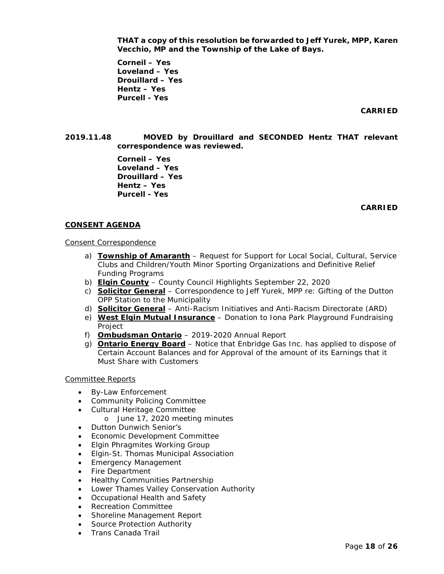**THAT a copy of this resolution be forwarded to Jeff Yurek, MPP, Karen Vecchio, MP and the Township of the Lake of Bays.** 

**Corneil – Yes Loveland – Yes Drouillard – Yes Hentz – Yes Purcell - Yes**

**CARRIED**

**2019.11.48 MOVED by Drouillard and SECONDED Hentz THAT relevant correspondence was reviewed.**

> **Corneil – Yes Loveland – Yes Drouillard – Yes Hentz – Yes Purcell - Yes**

> > **CARRIED**

## **CONSENT AGENDA**

### Consent Correspondence

- a) **Township of Amaranth** Request for Support for Local Social, Cultural, Service Clubs and Children/Youth Minor Sporting Organizations and Definitive Relief Funding Programs
- b) **Elgin County** County Council Highlights September 22, 2020
- c) **Solicitor General** Correspondence to Jeff Yurek, MPP re: Gifting of the Dutton OPP Station to the Municipality
- d) **Solicitor General** Anti-Racism Initiatives and Anti-Racism Directorate (ARD)
- e) **West Elgin Mutual Insurance** Donation to Iona Park Playground Fundraising Project
- f) **Ombudsman Ontario** 2019-2020 Annual Report
- g) **Ontario Energy Board** Notice that Enbridge Gas Inc. has applied to dispose of Certain Account Balances and for Approval of the amount of its Earnings that it Must Share with Customers

## Committee Reports

- By-Law Enforcement
- Community Policing Committee
- Cultural Heritage Committee
	- o June 17, 2020 meeting minutes
- Dutton Dunwich Senior's
- Economic Development Committee
- Elgin Phragmites Working Group
- Elgin-St. Thomas Municipal Association
- Emergency Management
- Fire Department
- Healthy Communities Partnership
- Lower Thames Valley Conservation Authority
- Occupational Health and Safety
- Recreation Committee
- Shoreline Management Report
- Source Protection Authority
- Trans Canada Trail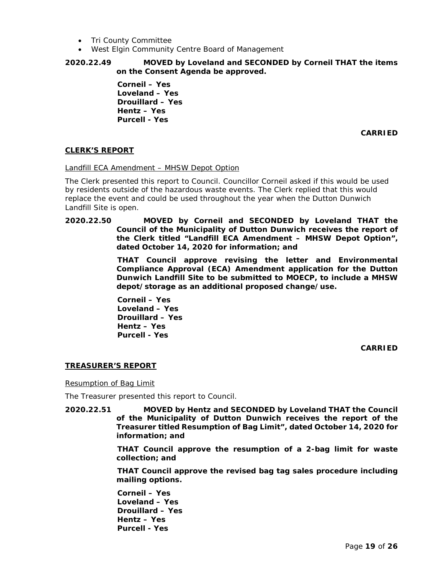- Tri County Committee
- West Elgin Community Centre Board of Management

## **2020.22.49 MOVED by Loveland and SECONDED by Corneil THAT the items on the Consent Agenda be approved.**

**Corneil – Yes Loveland – Yes Drouillard – Yes Hentz – Yes Purcell - Yes**

**CARRIED**

## **CLERK'S REPORT**

### Landfill ECA Amendment – MHSW Depot Option

The Clerk presented this report to Council. Councillor Corneil asked if this would be used by residents outside of the hazardous waste events. The Clerk replied that this would replace the event and could be used throughout the year when the Dutton Dunwich Landfill Site is open.

## **2020.22.50 MOVED by Corneil and SECONDED by Loveland THAT the Council of the Municipality of Dutton Dunwich receives the report of the Clerk titled "Landfill ECA Amendment – MHSW Depot Option", dated October 14, 2020 for information; and**

**THAT Council approve revising the letter and Environmental Compliance Approval (ECA) Amendment application for the Dutton Dunwich Landfill Site to be submitted to MOECP, to include a MHSW depot/storage as an additional proposed change/use.**

**Corneil – Yes Loveland – Yes Drouillard – Yes Hentz – Yes Purcell - Yes**

**CARRIED**

## **TREASURER'S REPORT**

Resumption of Bag Limit

The Treasurer presented this report to Council.

**2020.22.51 MOVED by Hentz and SECONDED by Loveland THAT the Council of the Municipality of Dutton Dunwich receives the report of the Treasurer titled Resumption of Bag Limit", dated October 14, 2020 for information; and**

> **THAT Council approve the resumption of a 2-bag limit for waste collection; and**

> **THAT Council approve the revised bag tag sales procedure including mailing options.**

**Corneil – Yes Loveland – Yes Drouillard – Yes Hentz – Yes Purcell - Yes**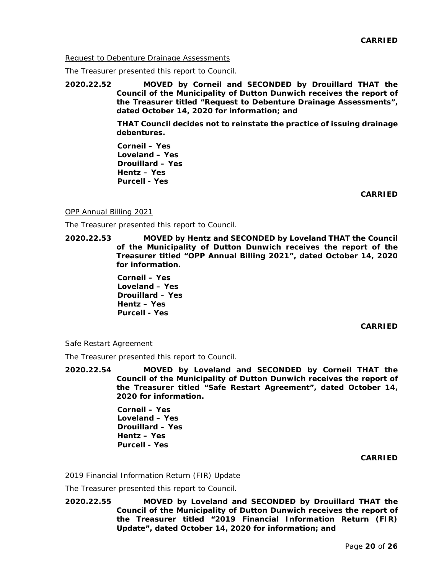Request to Debenture Drainage Assessments

The Treasurer presented this report to Council.

**2020.22.52 MOVED by Corneil and SECONDED by Drouillard THAT the Council of the Municipality of Dutton Dunwich receives the report of the Treasurer titled "Request to Debenture Drainage Assessments", dated October 14, 2020 for information; and**

> **THAT Council decides not to reinstate the practice of issuing drainage debentures.**

**Corneil – Yes Loveland – Yes Drouillard – Yes Hentz – Yes Purcell - Yes**

**CARRIED**

### OPP Annual Billing 2021

The Treasurer presented this report to Council.

**2020.22.53 MOVED by Hentz and SECONDED by Loveland THAT the Council of the Municipality of Dutton Dunwich receives the report of the Treasurer titled "OPP Annual Billing 2021", dated October 14, 2020 for information.**

> **Corneil – Yes Loveland – Yes Drouillard – Yes Hentz – Yes Purcell - Yes**

#### **CARRIED**

#### Safe Restart Agreement

The Treasurer presented this report to Council.

**2020.22.54 MOVED by Loveland and SECONDED by Corneil THAT the Council of the Municipality of Dutton Dunwich receives the report of the Treasurer titled "Safe Restart Agreement", dated October 14, 2020 for information.**

> **Corneil – Yes Loveland – Yes Drouillard – Yes Hentz – Yes Purcell - Yes**

> > **CARRIED**

## 2019 Financial Information Return (FIR) Update

The Treasurer presented this report to Council.

**2020.22.55 MOVED by Loveland and SECONDED by Drouillard THAT the Council of the Municipality of Dutton Dunwich receives the report of the Treasurer titled "2019 Financial Information Return (FIR) Update", dated October 14, 2020 for information; and**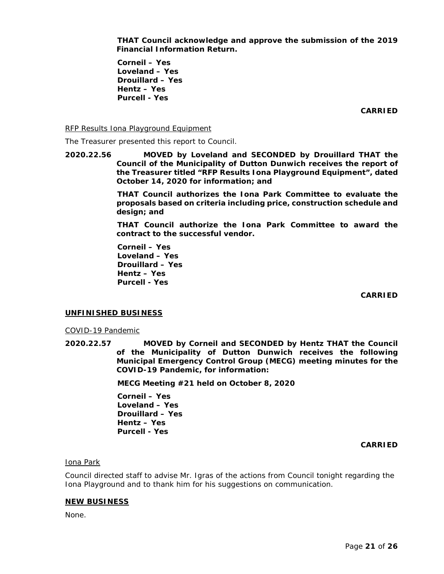**THAT Council acknowledge and approve the submission of the 2019 Financial Information Return.**

**Corneil – Yes Loveland – Yes Drouillard – Yes Hentz – Yes Purcell - Yes**

**CARRIED**

RFP Results Iona Playground Equipment

The Treasurer presented this report to Council.

**2020.22.56 MOVED by Loveland and SECONDED by Drouillard THAT the Council of the Municipality of Dutton Dunwich receives the report of the Treasurer titled "RFP Results Iona Playground Equipment", dated October 14, 2020 for information; and**

> **THAT Council authorizes the Iona Park Committee to evaluate the proposals based on criteria including price, construction schedule and design; and**

> **THAT Council authorize the Iona Park Committee to award the contract to the successful vendor.**

**Corneil – Yes Loveland – Yes Drouillard – Yes Hentz – Yes Purcell - Yes**

**CARRIED**

#### **UNFINISHED BUSINESS**

COVID-19 Pandemic

**2020.22.57 MOVED by Corneil and SECONDED by Hentz THAT the Council of the Municipality of Dutton Dunwich receives the following Municipal Emergency Control Group (MECG) meeting minutes for the COVID-19 Pandemic, for information:**

**MECG Meeting #21 held on October 8, 2020**

**Corneil – Yes Loveland – Yes Drouillard – Yes Hentz – Yes Purcell - Yes**

**CARRIED**

### Iona Park

Council directed staff to advise Mr. Igras of the actions from Council tonight regarding the Iona Playground and to thank him for his suggestions on communication.

#### **NEW BUSINESS**

None.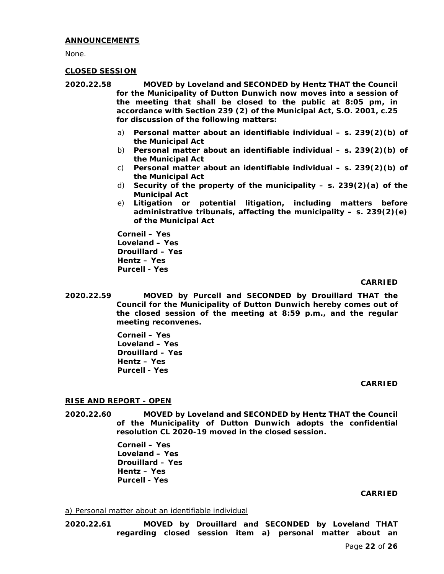## **ANNOUNCEMENTS**

None.

## **CLOSED SESSION**

- **2020.22.58 MOVED by Loveland and SECONDED by Hentz THAT the Council for the Municipality of Dutton Dunwich now moves into a session of the meeting that shall be closed to the public at 8:05 pm, in accordance with Section 239 (2) of the Municipal Act, S.O. 2001, c.25 for discussion of the following matters:**
	- a) **Personal matter about an identifiable individual – s. 239(2)(b) of the Municipal Act**
	- b) **Personal matter about an identifiable individual – s. 239(2)(b) of the Municipal Act**
	- c) **Personal matter about an identifiable individual – s. 239(2)(b) of the Municipal Act**
	- d) **Security of the property of the municipality – s. 239(2)(a) of the Municipal Act**
	- e) **Litigation or potential litigation, including matters before administrative tribunals, affecting the municipality – s. 239(2)(e) of the Municipal Act**

**Corneil – Yes Loveland – Yes Drouillard – Yes Hentz – Yes Purcell - Yes**

## **CARRIED**

**2020.22.59 MOVED by Purcell and SECONDED by Drouillard THAT the Council for the Municipality of Dutton Dunwich hereby comes out of the closed session of the meeting at 8:59 p.m., and the regular meeting reconvenes.**

> **Corneil – Yes Loveland – Yes Drouillard – Yes Hentz – Yes Purcell - Yes**

#### **CARRIED**

## **RISE AND REPORT - OPEN**

**2020.22.60 MOVED by Loveland and SECONDED by Hentz THAT the Council of the Municipality of Dutton Dunwich adopts the confidential resolution CL 2020-19 moved in the closed session.**

> **Corneil – Yes Loveland – Yes Drouillard – Yes Hentz – Yes Purcell - Yes**

#### **CARRIED**

#### a) Personal matter about an identifiable individual

**2020.22.61 MOVED by Drouillard and SECONDED by Loveland THAT regarding closed session item a) personal matter about an**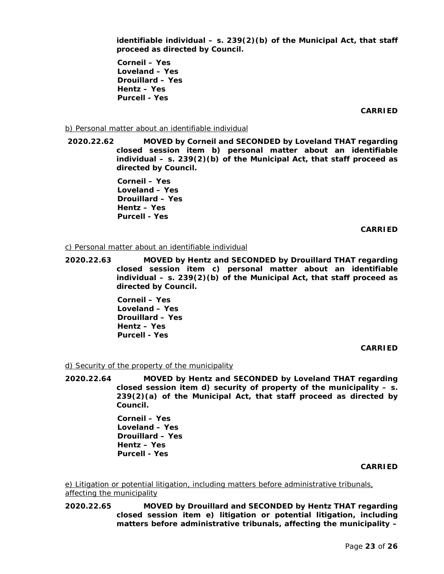**identifiable individual – s. 239(2)(b) of the Municipal Act, that staff proceed as directed by Council.**

**Corneil – Yes Loveland – Yes Drouillard – Yes Hentz – Yes Purcell - Yes**

**CARRIED**

### b) Personal matter about an identifiable individual

**2020.22.62 MOVED by Corneil and SECONDED by Loveland THAT regarding closed session item b) personal matter about an identifiable individual – s. 239(2)(b) of the Municipal Act, that staff proceed as directed by Council.**

> **Corneil – Yes Loveland – Yes Drouillard – Yes Hentz – Yes Purcell - Yes**

#### **CARRIED**

#### c) Personal matter about an identifiable individual

**2020.22.63 MOVED by Hentz and SECONDED by Drouillard THAT regarding closed session item c) personal matter about an identifiable individual – s. 239(2)(b) of the Municipal Act, that staff proceed as directed by Council.**

> **Corneil – Yes Loveland – Yes Drouillard – Yes Hentz – Yes Purcell - Yes**

> > **CARRIED**

#### d) Security of the property of the municipality

**2020.22.64 MOVED by Hentz and SECONDED by Loveland THAT regarding closed session item d) security of property of the municipality – s. 239(2)(a) of the Municipal Act, that staff proceed as directed by Council.**

> **Corneil – Yes Loveland – Yes Drouillard – Yes Hentz – Yes Purcell - Yes**

#### **CARRIED**

e) Litigation or potential litigation, including matters before administrative tribunals, affecting the municipality

**2020.22.65 MOVED by Drouillard and SECONDED by Hentz THAT regarding closed session item e) litigation or potential litigation, including matters before administrative tribunals, affecting the municipality –**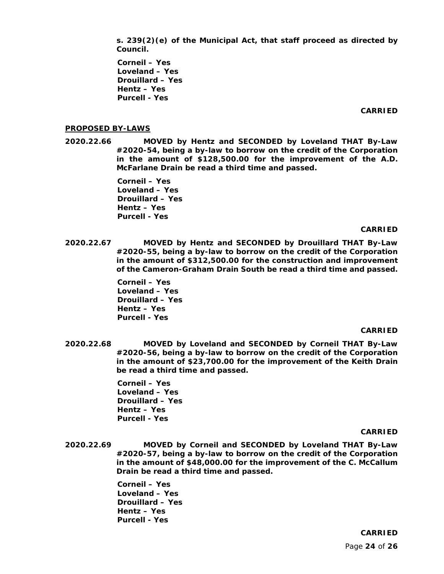**s. 239(2)(e) of the Municipal Act, that staff proceed as directed by Council.**

**Corneil – Yes Loveland – Yes Drouillard – Yes Hentz – Yes Purcell - Yes**

#### **CARRIED**

#### **PROPOSED BY-LAWS**

**2020.22.66 MOVED by Hentz and SECONDED by Loveland THAT By-Law #2020-54, being a by-law to borrow on the credit of the Corporation in the amount of \$128,500.00 for the improvement of the A.D. McFarlane Drain be read a third time and passed.** 

> **Corneil – Yes Loveland – Yes Drouillard – Yes Hentz – Yes Purcell - Yes**

#### **CARRIED**

**2020.22.67 MOVED by Hentz and SECONDED by Drouillard THAT By-Law #2020-55, being a by-law to borrow on the credit of the Corporation in the amount of \$312,500.00 for the construction and improvement of the Cameron-Graham Drain South be read a third time and passed.**

> **Corneil – Yes Loveland – Yes Drouillard – Yes Hentz – Yes Purcell - Yes**

#### **CARRIED**

**2020.22.68 MOVED by Loveland and SECONDED by Corneil THAT By-Law #2020-56, being a by-law to borrow on the credit of the Corporation in the amount of \$23,700.00 for the improvement of the Keith Drain be read a third time and passed.**

> **Corneil – Yes Loveland – Yes Drouillard – Yes Hentz – Yes Purcell - Yes**

#### **CARRIED**

**2020.22.69 MOVED by Corneil and SECONDED by Loveland THAT By-Law #2020-57, being a by-law to borrow on the credit of the Corporation in the amount of \$48,000.00 for the improvement of the C. McCallum Drain be read a third time and passed.**

> **Corneil – Yes Loveland – Yes Drouillard – Yes Hentz – Yes Purcell - Yes**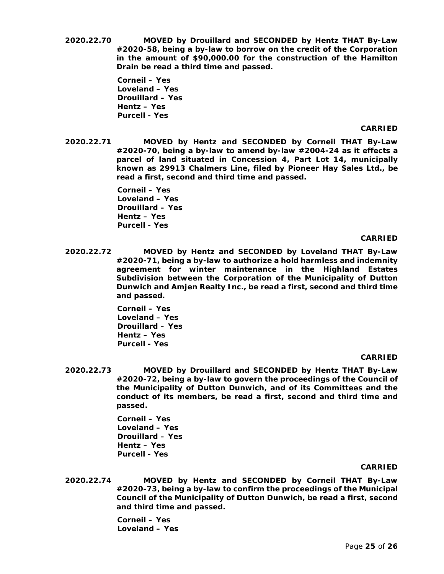**2020.22.70 MOVED by Drouillard and SECONDED by Hentz THAT By-Law #2020-58, being a by-law to borrow on the credit of the Corporation in the amount of \$90,000.00 for the construction of the Hamilton Drain be read a third time and passed.**

> **Corneil – Yes Loveland – Yes Drouillard – Yes Hentz – Yes Purcell - Yes**

#### **CARRIED**

**2020.22.71 MOVED by Hentz and SECONDED by Corneil THAT By-Law #2020-70, being a by-law to amend by-law #2004-24 as it effects a parcel of land situated in Concession 4, Part Lot 14, municipally known as 29913 Chalmers Line, filed by Pioneer Hay Sales Ltd., be read a first, second and third time and passed.**

> **Corneil – Yes Loveland – Yes Drouillard – Yes Hentz – Yes Purcell - Yes**

#### **CARRIED**

**2020.22.72 MOVED by Hentz and SECONDED by Loveland THAT By-Law #2020-71, being a by-law to authorize a hold harmless and indemnity agreement for winter maintenance in the Highland Estates Subdivision between the Corporation of the Municipality of Dutton Dunwich and Amjen Realty Inc., be read a first, second and third time and passed.**

> **Corneil – Yes Loveland – Yes Drouillard – Yes Hentz – Yes Purcell - Yes**

#### **CARRIED**

**2020.22.73 MOVED by Drouillard and SECONDED by Hentz THAT By-Law #2020-72, being a by-law to govern the proceedings of the Council of the Municipality of Dutton Dunwich, and of its Committees and the conduct of its members, be read a first, second and third time and passed.**

> **Corneil – Yes Loveland – Yes Drouillard – Yes Hentz – Yes Purcell - Yes**

#### **CARRIED**

**2020.22.74 MOVED by Hentz and SECONDED by Corneil THAT By-Law #2020-73, being a by-law to confirm the proceedings of the Municipal Council of the Municipality of Dutton Dunwich, be read a first, second and third time and passed.**

> **Corneil – Yes Loveland – Yes**